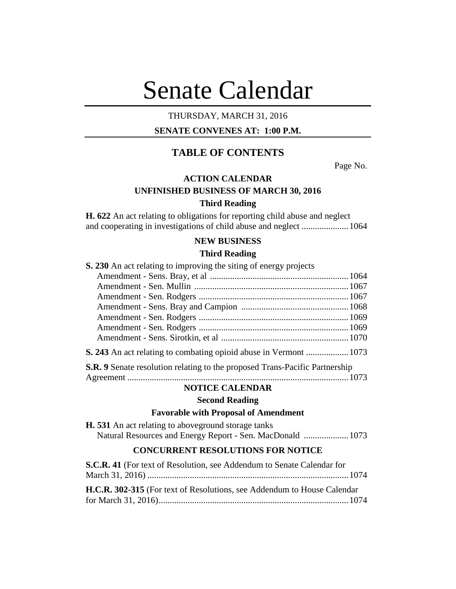# Senate Calendar

## THURSDAY, MARCH 31, 2016

## **SENATE CONVENES AT: 1:00 P.M.**

## **TABLE OF CONTENTS**

Page No.

## **ACTION CALENDAR**

## **UNFINISHED BUSINESS OF MARCH 30, 2016**

#### **Third Reading**

**H. 622** An act relating to obligations for reporting child abuse and neglect and cooperating in investigations of child abuse and neglect .....................1064

## **NEW BUSINESS**

## **Third Reading**

| S. 230 An act relating to improving the siting of energy projects           |  |
|-----------------------------------------------------------------------------|--|
|                                                                             |  |
|                                                                             |  |
|                                                                             |  |
|                                                                             |  |
|                                                                             |  |
|                                                                             |  |
|                                                                             |  |
|                                                                             |  |
| S.R. 9 Senate resolution relating to the proposed Trans-Pacific Partnership |  |

Agreement ...................................................................................................1073

#### **NOTICE CALENDAR**

#### **Second Reading**

## **Favorable with Proposal of Amendment**

**H. 531** An act relating to aboveground storage tanks Natural Resources and Energy Report - Sen. MacDonald ....................1073

## **CONCURRENT RESOLUTIONS FOR NOTICE**

| S.C.R. 41 (For text of Resolution, see Addendum to Senate Calendar for          |  |
|---------------------------------------------------------------------------------|--|
|                                                                                 |  |
| <b>H.C.R. 302-315</b> (For text of Resolutions, see Addendum to House Calendar) |  |
|                                                                                 |  |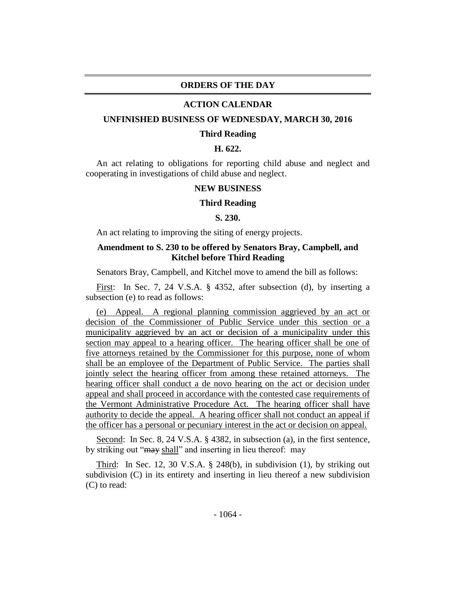## **ORDERS OF THE DAY**

#### **ACTION CALENDAR**

#### **UNFINISHED BUSINESS OF WEDNESDAY, MARCH 30, 2016**

#### **Third Reading**

### **H. 622.**

An act relating to obligations for reporting child abuse and neglect and cooperating in investigations of child abuse and neglect.

## **NEW BUSINESS**

#### **Third Reading**

#### **S. 230.**

An act relating to improving the siting of energy projects.

## **Amendment to S. 230 to be offered by Senators Bray, Campbell, and Kitchel before Third Reading**

Senators Bray, Campbell, and Kitchel move to amend the bill as follows:

First: In Sec. 7, 24 V.S.A. § 4352, after subsection (d), by inserting a subsection (e) to read as follows:

(e) Appeal. A regional planning commission aggrieved by an act or decision of the Commissioner of Public Service under this section or a municipality aggrieved by an act or decision of a municipality under this section may appeal to a hearing officer. The hearing officer shall be one of five attorneys retained by the Commissioner for this purpose, none of whom shall be an employee of the Department of Public Service. The parties shall jointly select the hearing officer from among these retained attorneys. The hearing officer shall conduct a de novo hearing on the act or decision under appeal and shall proceed in accordance with the contested case requirements of the Vermont Administrative Procedure Act. The hearing officer shall have authority to decide the appeal. A hearing officer shall not conduct an appeal if the officer has a personal or pecuniary interest in the act or decision on appeal.

Second: In Sec. 8, 24 V.S.A. § 4382, in subsection (a), in the first sentence, by striking out "may shall" and inserting in lieu thereof: may

Third: In Sec. 12, 30 V.S.A. § 248(b), in subdivision (1), by striking out subdivision (C) in its entirety and inserting in lieu thereof a new subdivision (C) to read: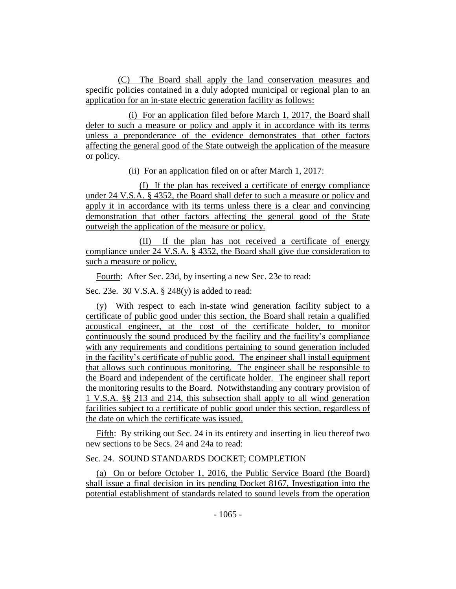(C) The Board shall apply the land conservation measures and specific policies contained in a duly adopted municipal or regional plan to an application for an in-state electric generation facility as follows:

(i) For an application filed before March 1, 2017, the Board shall defer to such a measure or policy and apply it in accordance with its terms unless a preponderance of the evidence demonstrates that other factors affecting the general good of the State outweigh the application of the measure or policy.

(ii) For an application filed on or after March 1, 2017:

(I) If the plan has received a certificate of energy compliance under 24 V.S.A. § 4352, the Board shall defer to such a measure or policy and apply it in accordance with its terms unless there is a clear and convincing demonstration that other factors affecting the general good of the State outweigh the application of the measure or policy.

(II) If the plan has not received a certificate of energy compliance under 24 V.S.A. § 4352, the Board shall give due consideration to such a measure or policy.

Fourth: After Sec. 23d, by inserting a new Sec. 23e to read:

Sec. 23e. 30 V.S.A. § 248(y) is added to read:

(y) With respect to each in-state wind generation facility subject to a certificate of public good under this section, the Board shall retain a qualified acoustical engineer, at the cost of the certificate holder, to monitor continuously the sound produced by the facility and the facility's compliance with any requirements and conditions pertaining to sound generation included in the facility's certificate of public good. The engineer shall install equipment that allows such continuous monitoring. The engineer shall be responsible to the Board and independent of the certificate holder. The engineer shall report the monitoring results to the Board. Notwithstanding any contrary provision of 1 V.S.A. §§ 213 and 214, this subsection shall apply to all wind generation facilities subject to a certificate of public good under this section, regardless of the date on which the certificate was issued.

Fifth: By striking out Sec. 24 in its entirety and inserting in lieu thereof two new sections to be Secs. 24 and 24a to read:

## Sec. 24. SOUND STANDARDS DOCKET; COMPLETION

(a) On or before October 1, 2016, the Public Service Board (the Board) shall issue a final decision in its pending Docket 8167, Investigation into the potential establishment of standards related to sound levels from the operation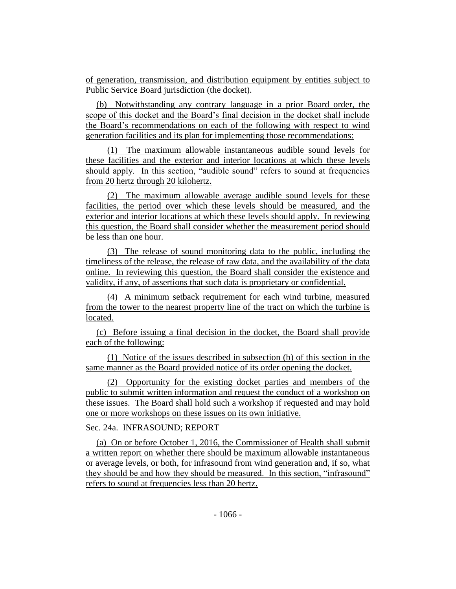of generation, transmission, and distribution equipment by entities subject to Public Service Board jurisdiction (the docket).

(b) Notwithstanding any contrary language in a prior Board order, the scope of this docket and the Board's final decision in the docket shall include the Board's recommendations on each of the following with respect to wind generation facilities and its plan for implementing those recommendations:

(1) The maximum allowable instantaneous audible sound levels for these facilities and the exterior and interior locations at which these levels should apply. In this section, "audible sound" refers to sound at frequencies from 20 hertz through 20 kilohertz.

(2) The maximum allowable average audible sound levels for these facilities, the period over which these levels should be measured, and the exterior and interior locations at which these levels should apply. In reviewing this question, the Board shall consider whether the measurement period should be less than one hour.

(3) The release of sound monitoring data to the public, including the timeliness of the release, the release of raw data, and the availability of the data online. In reviewing this question, the Board shall consider the existence and validity, if any, of assertions that such data is proprietary or confidential.

(4) A minimum setback requirement for each wind turbine, measured from the tower to the nearest property line of the tract on which the turbine is located.

(c) Before issuing a final decision in the docket, the Board shall provide each of the following:

(1) Notice of the issues described in subsection (b) of this section in the same manner as the Board provided notice of its order opening the docket.

(2) Opportunity for the existing docket parties and members of the public to submit written information and request the conduct of a workshop on these issues. The Board shall hold such a workshop if requested and may hold one or more workshops on these issues on its own initiative.

## Sec. 24a. INFRASOUND; REPORT

(a) On or before October 1, 2016, the Commissioner of Health shall submit a written report on whether there should be maximum allowable instantaneous or average levels, or both, for infrasound from wind generation and, if so, what they should be and how they should be measured. In this section, "infrasound" refers to sound at frequencies less than 20 hertz.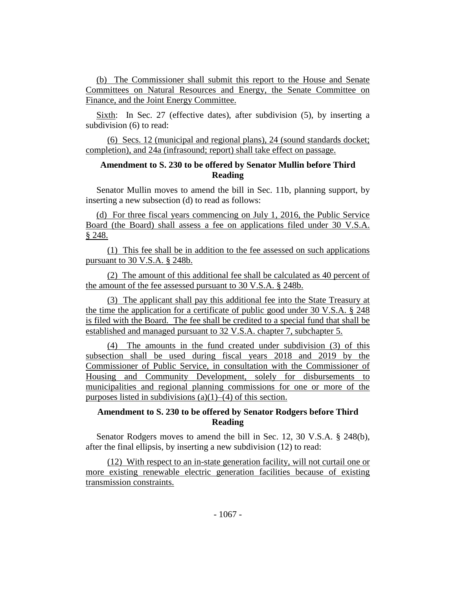(b) The Commissioner shall submit this report to the House and Senate Committees on Natural Resources and Energy, the Senate Committee on Finance, and the Joint Energy Committee.

Sixth: In Sec. 27 (effective dates), after subdivision (5), by inserting a subdivision (6) to read:

(6) Secs. 12 (municipal and regional plans), 24 (sound standards docket; completion), and 24a (infrasound; report) shall take effect on passage.

## **Amendment to S. 230 to be offered by Senator Mullin before Third Reading**

Senator Mullin moves to amend the bill in Sec. 11b, planning support, by inserting a new subsection (d) to read as follows:

(d) For three fiscal years commencing on July 1, 2016, the Public Service Board (the Board) shall assess a fee on applications filed under 30 V.S.A. § 248.

(1) This fee shall be in addition to the fee assessed on such applications pursuant to 30 V.S.A. § 248b.

(2) The amount of this additional fee shall be calculated as 40 percent of the amount of the fee assessed pursuant to 30 V.S.A. § 248b.

(3) The applicant shall pay this additional fee into the State Treasury at the time the application for a certificate of public good under 30 V.S.A. § 248 is filed with the Board. The fee shall be credited to a special fund that shall be established and managed pursuant to 32 V.S.A. chapter 7, subchapter 5.

(4) The amounts in the fund created under subdivision (3) of this subsection shall be used during fiscal years 2018 and 2019 by the Commissioner of Public Service, in consultation with the Commissioner of Housing and Community Development, solely for disbursements to municipalities and regional planning commissions for one or more of the purposes listed in subdivisions  $(a)(1)$ – $(4)$  of this section.

## **Amendment to S. 230 to be offered by Senator Rodgers before Third Reading**

Senator Rodgers moves to amend the bill in Sec. 12, 30 V.S.A. § 248(b), after the final ellipsis, by inserting a new subdivision (12) to read:

(12) With respect to an in-state generation facility, will not curtail one or more existing renewable electric generation facilities because of existing transmission constraints.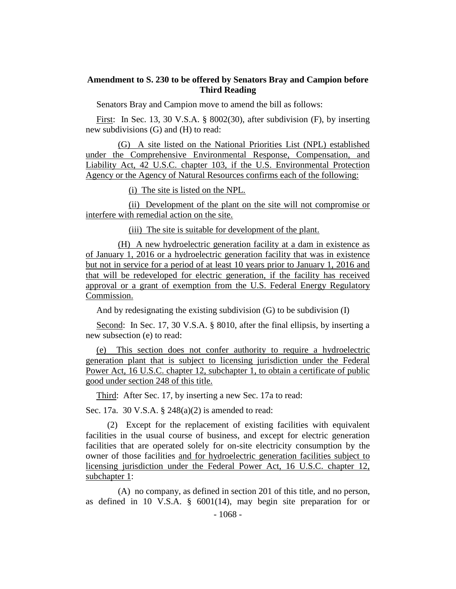## **Amendment to S. 230 to be offered by Senators Bray and Campion before Third Reading**

Senators Bray and Campion move to amend the bill as follows:

First: In Sec. 13, 30 V.S.A. § 8002(30), after subdivision (F), by inserting new subdivisions (G) and (H) to read:

(G) A site listed on the National Priorities List (NPL) established under the Comprehensive Environmental Response, Compensation, and Liability Act, 42 U.S.C. chapter 103, if the U.S. Environmental Protection Agency or the Agency of Natural Resources confirms each of the following:

(i) The site is listed on the NPL.

(ii) Development of the plant on the site will not compromise or interfere with remedial action on the site.

(iii) The site is suitable for development of the plant.

(H) A new hydroelectric generation facility at a dam in existence as of January 1, 2016 or a hydroelectric generation facility that was in existence but not in service for a period of at least 10 years prior to January 1, 2016 and that will be redeveloped for electric generation, if the facility has received approval or a grant of exemption from the U.S. Federal Energy Regulatory Commission.

And by redesignating the existing subdivision (G) to be subdivision (I)

Second: In Sec. 17, 30 V.S.A. § 8010, after the final ellipsis, by inserting a new subsection (e) to read:

(e) This section does not confer authority to require a hydroelectric generation plant that is subject to licensing jurisdiction under the Federal Power Act, 16 U.S.C. chapter 12, subchapter 1, to obtain a certificate of public good under section 248 of this title.

Third: After Sec. 17, by inserting a new Sec. 17a to read:

Sec. 17a. 30 V.S.A. § 248(a)(2) is amended to read:

(2) Except for the replacement of existing facilities with equivalent facilities in the usual course of business, and except for electric generation facilities that are operated solely for on-site electricity consumption by the owner of those facilities and for hydroelectric generation facilities subject to licensing jurisdiction under the Federal Power Act, 16 U.S.C. chapter 12, subchapter 1:

(A) no company, as defined in section 201 of this title, and no person, as defined in 10 V.S.A. § 6001(14), may begin site preparation for or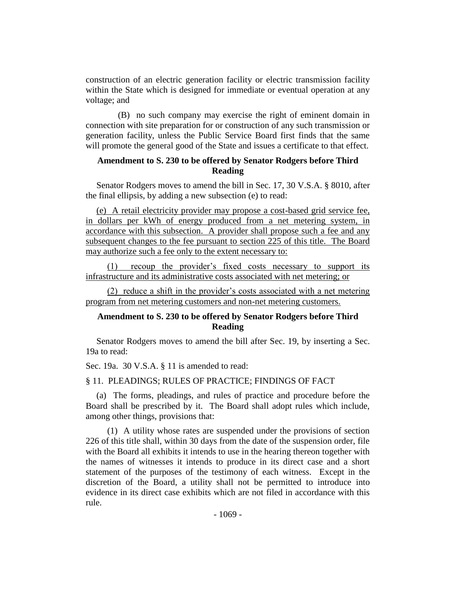construction of an electric generation facility or electric transmission facility within the State which is designed for immediate or eventual operation at any voltage; and

(B) no such company may exercise the right of eminent domain in connection with site preparation for or construction of any such transmission or generation facility, unless the Public Service Board first finds that the same will promote the general good of the State and issues a certificate to that effect.

## **Amendment to S. 230 to be offered by Senator Rodgers before Third Reading**

Senator Rodgers moves to amend the bill in Sec. 17, 30 V.S.A. § 8010, after the final ellipsis, by adding a new subsection (e) to read:

(e) A retail electricity provider may propose a cost-based grid service fee, in dollars per kWh of energy produced from a net metering system, in accordance with this subsection. A provider shall propose such a fee and any subsequent changes to the fee pursuant to section 225 of this title. The Board may authorize such a fee only to the extent necessary to:

(1) recoup the provider's fixed costs necessary to support its infrastructure and its administrative costs associated with net metering; or

(2) reduce a shift in the provider's costs associated with a net metering program from net metering customers and non-net metering customers.

## **Amendment to S. 230 to be offered by Senator Rodgers before Third Reading**

Senator Rodgers moves to amend the bill after Sec. 19, by inserting a Sec. 19a to read:

Sec. 19a. 30 V.S.A. § 11 is amended to read:

§ 11. PLEADINGS; RULES OF PRACTICE; FINDINGS OF FACT

(a) The forms, pleadings, and rules of practice and procedure before the Board shall be prescribed by it. The Board shall adopt rules which include, among other things, provisions that:

(1) A utility whose rates are suspended under the provisions of section 226 of this title shall, within 30 days from the date of the suspension order, file with the Board all exhibits it intends to use in the hearing thereon together with the names of witnesses it intends to produce in its direct case and a short statement of the purposes of the testimony of each witness. Except in the discretion of the Board, a utility shall not be permitted to introduce into evidence in its direct case exhibits which are not filed in accordance with this rule.

- 1069 -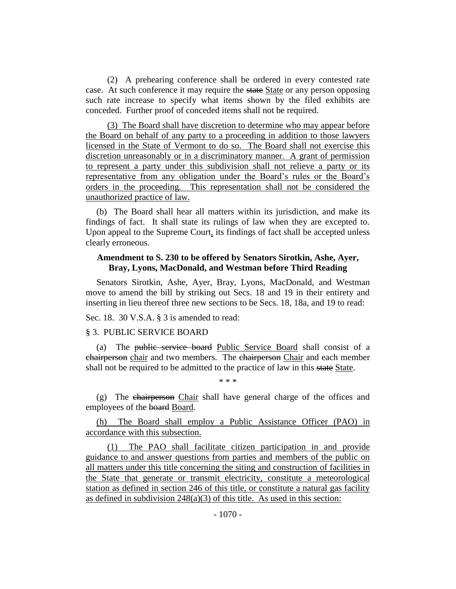(2) A prehearing conference shall be ordered in every contested rate case. At such conference it may require the state State or any person opposing such rate increase to specify what items shown by the filed exhibits are conceded. Further proof of conceded items shall not be required.

(3) The Board shall have discretion to determine who may appear before the Board on behalf of any party to a proceeding in addition to those lawyers licensed in the State of Vermont to do so. The Board shall not exercise this discretion unreasonably or in a discriminatory manner. A grant of permission to represent a party under this subdivision shall not relieve a party or its representative from any obligation under the Board's rules or the Board's orders in the proceeding. This representation shall not be considered the unauthorized practice of law.

(b) The Board shall hear all matters within its jurisdiction, and make its findings of fact. It shall state its rulings of law when they are excepted to. Upon appeal to the Supreme Court, its findings of fact shall be accepted unless clearly erroneous.

## **Amendment to S. 230 to be offered by Senators Sirotkin, Ashe, Ayer, Bray, Lyons, MacDonald, and Westman before Third Reading**

Senators Sirotkin, Ashe, Ayer, Bray, Lyons, MacDonald, and Westman move to amend the bill by striking out Secs. 18 and 19 in their entirety and inserting in lieu thereof three new sections to be Secs. 18, 18a, and 19 to read:

Sec. 18. 30 V.S.A. § 3 is amended to read:

### § 3. PUBLIC SERVICE BOARD

(a) The public service board Public Service Board shall consist of a chairperson chair and two members. The chairperson Chair and each member shall not be required to be admitted to the practice of law in this state State.

\* \* \*

(g) The chairperson Chair shall have general charge of the offices and employees of the board Board.

(h) The Board shall employ a Public Assistance Officer (PAO) in accordance with this subsection.

(1) The PAO shall facilitate citizen participation in and provide guidance to and answer questions from parties and members of the public on all matters under this title concerning the siting and construction of facilities in the State that generate or transmit electricity, constitute a meteorological station as defined in section 246 of this title, or constitute a natural gas facility as defined in subdivision  $248(a)(3)$  of this title. As used in this section: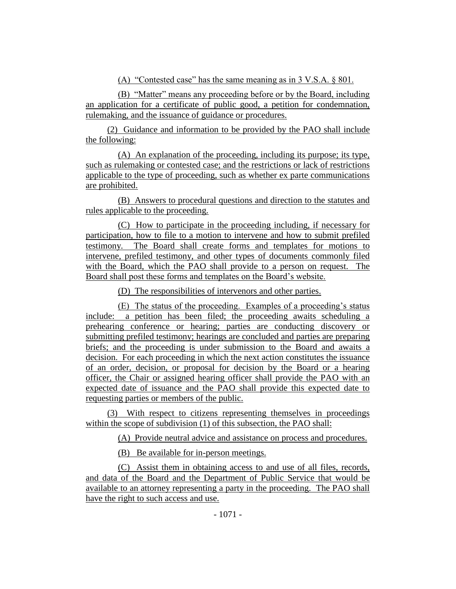(A) "Contested case" has the same meaning as in 3 V.S.A. § 801.

(B) "Matter" means any proceeding before or by the Board, including an application for a certificate of public good, a petition for condemnation, rulemaking, and the issuance of guidance or procedures.

(2) Guidance and information to be provided by the PAO shall include the following:

(A) An explanation of the proceeding, including its purpose; its type, such as rulemaking or contested case; and the restrictions or lack of restrictions applicable to the type of proceeding, such as whether ex parte communications are prohibited.

(B) Answers to procedural questions and direction to the statutes and rules applicable to the proceeding.

(C) How to participate in the proceeding including, if necessary for participation, how to file to a motion to intervene and how to submit prefiled testimony. The Board shall create forms and templates for motions to intervene, prefiled testimony, and other types of documents commonly filed with the Board, which the PAO shall provide to a person on request. The Board shall post these forms and templates on the Board's website.

(D) The responsibilities of intervenors and other parties.

(E) The status of the proceeding. Examples of a proceeding's status include: a petition has been filed; the proceeding awaits scheduling a prehearing conference or hearing; parties are conducting discovery or submitting prefiled testimony; hearings are concluded and parties are preparing briefs; and the proceeding is under submission to the Board and awaits a decision. For each proceeding in which the next action constitutes the issuance of an order, decision, or proposal for decision by the Board or a hearing officer, the Chair or assigned hearing officer shall provide the PAO with an expected date of issuance and the PAO shall provide this expected date to requesting parties or members of the public.

(3) With respect to citizens representing themselves in proceedings within the scope of subdivision (1) of this subsection, the PAO shall:

(A) Provide neutral advice and assistance on process and procedures.

(B) Be available for in-person meetings.

(C) Assist them in obtaining access to and use of all files, records, and data of the Board and the Department of Public Service that would be available to an attorney representing a party in the proceeding. The PAO shall have the right to such access and use.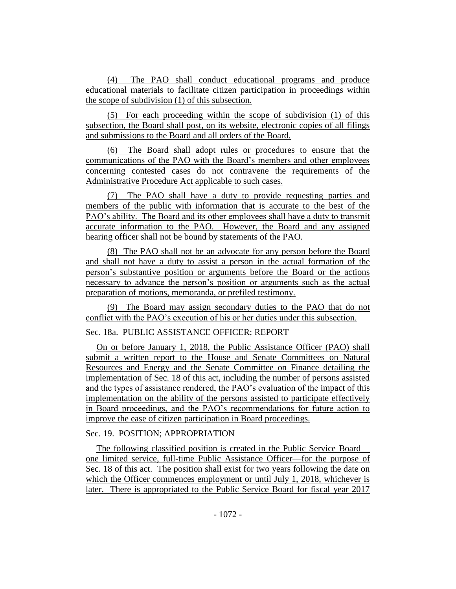(4) The PAO shall conduct educational programs and produce educational materials to facilitate citizen participation in proceedings within the scope of subdivision (1) of this subsection.

(5) For each proceeding within the scope of subdivision (1) of this subsection, the Board shall post, on its website, electronic copies of all filings and submissions to the Board and all orders of the Board.

(6) The Board shall adopt rules or procedures to ensure that the communications of the PAO with the Board's members and other employees concerning contested cases do not contravene the requirements of the Administrative Procedure Act applicable to such cases.

(7) The PAO shall have a duty to provide requesting parties and members of the public with information that is accurate to the best of the PAO's ability. The Board and its other employees shall have a duty to transmit accurate information to the PAO. However, the Board and any assigned hearing officer shall not be bound by statements of the PAO.

(8) The PAO shall not be an advocate for any person before the Board and shall not have a duty to assist a person in the actual formation of the person's substantive position or arguments before the Board or the actions necessary to advance the person's position or arguments such as the actual preparation of motions, memoranda, or prefiled testimony.

(9) The Board may assign secondary duties to the PAO that do not conflict with the PAO's execution of his or her duties under this subsection.

## Sec. 18a. PUBLIC ASSISTANCE OFFICER; REPORT

On or before January 1, 2018, the Public Assistance Officer (PAO) shall submit a written report to the House and Senate Committees on Natural Resources and Energy and the Senate Committee on Finance detailing the implementation of Sec. 18 of this act, including the number of persons assisted and the types of assistance rendered, the PAO's evaluation of the impact of this implementation on the ability of the persons assisted to participate effectively in Board proceedings, and the PAO's recommendations for future action to improve the ease of citizen participation in Board proceedings.

## Sec. 19. POSITION; APPROPRIATION

The following classified position is created in the Public Service Board one limited service, full-time Public Assistance Officer—for the purpose of Sec. 18 of this act. The position shall exist for two years following the date on which the Officer commences employment or until July 1, 2018, whichever is later. There is appropriated to the Public Service Board for fiscal year 2017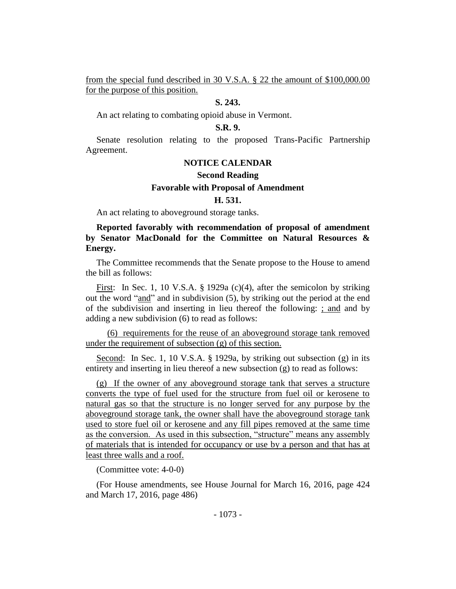from the special fund described in 30 V.S.A. § 22 the amount of \$100,000.00 for the purpose of this position.

## **S. 243.**

An act relating to combating opioid abuse in Vermont.

#### **S.R. 9.**

Senate resolution relating to the proposed Trans-Pacific Partnership Agreement.

### **NOTICE CALENDAR**

### **Second Reading**

#### **Favorable with Proposal of Amendment**

## **H. 531.**

An act relating to aboveground storage tanks.

## **Reported favorably with recommendation of proposal of amendment by Senator MacDonald for the Committee on Natural Resources & Energy.**

The Committee recommends that the Senate propose to the House to amend the bill as follows:

First: In Sec. 1, 10 V.S.A. § 1929a (c)(4), after the semicolon by striking out the word "and" and in subdivision (5), by striking out the period at the end of the subdivision and inserting in lieu thereof the following: ; and and by adding a new subdivision (6) to read as follows:

(6) requirements for the reuse of an aboveground storage tank removed under the requirement of subsection (g) of this section.

Second: In Sec. 1, 10 V.S.A. § 1929a, by striking out subsection (g) in its entirety and inserting in lieu thereof a new subsection (g) to read as follows:

(g) If the owner of any aboveground storage tank that serves a structure converts the type of fuel used for the structure from fuel oil or kerosene to natural gas so that the structure is no longer served for any purpose by the aboveground storage tank, the owner shall have the aboveground storage tank used to store fuel oil or kerosene and any fill pipes removed at the same time as the conversion. As used in this subsection, "structure" means any assembly of materials that is intended for occupancy or use by a person and that has at least three walls and a roof.

(Committee vote: 4-0-0)

(For House amendments, see House Journal for March 16, 2016, page 424 and March 17, 2016, page 486)